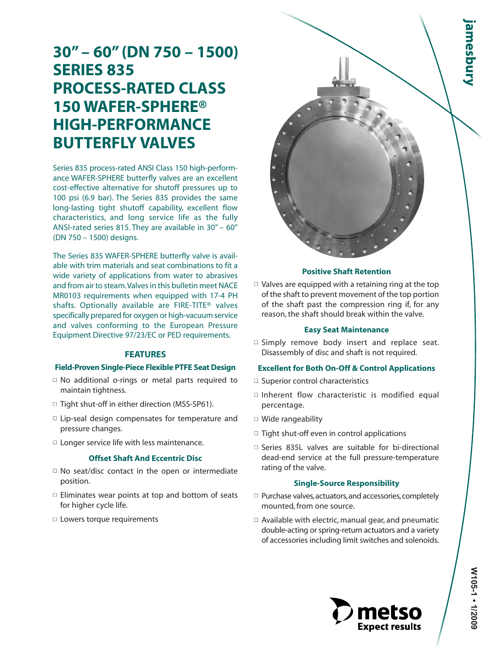# **30" – 60" (DN 750 – 1500) SERIES 835 PROCESS-RATED CLASS 150 WAFER-SPHERE® HIGH-PERFORMANCE BUTTERFLY VALVES**

Series 835 process-rated ANSI Class 150 high-performance WAFER-SPHERE butterfly valves are an excellent cost-effective alternative for shutoff pressures up to 100 psi (6.9 bar). The Series 835 provides the same long-lasting tight shutoff capability, excellent flow characteristics, and long service life as the fully ANSI-rated series 815. They are available in 30" – 60" (DN 750 – 1500) designs.

The Series 835 WAFER-SPHERE butterfly valve is available with trim materials and seat combinations to fit a wide variety of applications from water to abrasives and from air to steam.Valves in this bulletin meet NACE MR0103 requirements when equipped with 17-4 PH shafts. Optionally available are FIRE-TITE® valves specifically prepared for oxygen or high-vacuum service and valves conforming to the European Pressure Equipment Directive 97/23/EC or PED requirements.

## **FEATURES**

### **Field-Proven Single-Piece Flexible PTFE Seat Design**

- $\Box$  No additional o-rings or metal parts required to maintain tightness.
- □ Tight shut-off in either direction (MSS-SP61).
- □ Lip-seal design compensates for temperature and pressure changes.
- $\Box$  Longer service life with less maintenance.

#### **Offset Shaft And Eccentric Disc**

- $\Box$  No seat/disc contact in the open or intermediate position.
- $\square$  Eliminates wear points at top and bottom of seats for higher cycle life.
- □ Lowers torque requirements



#### **Positive Shaft Retention**

 $\Box$  Valves are equipped with a retaining ring at the top of the shaft to prevent movement of the top portion of the shaft past the compression ring if, for any reason, the shaft should break within the valve.

#### **Easy Seat Maintenance**

 $\Box$  Simply remove body insert and replace seat. Disassembly of disc and shaft is not required.

### **Excellent for Both On-Off & Control Applications**

- □ Superior control characteristics
- $\square$  Inherent flow characteristic is modified equal percentage.
- Wide rangeability
- $\Box$  Tight shut-off even in control applications
- □ Series 835L valves are suitable for bi-directional dead-end service at the full pressure-temperature rating of the valve.

## **Single-Source Responsibility**

- $\Box$  Purchase valves, actuators, and accessories, completely mounted, from one source.
- $\Box$  Available with electric, manual gear, and pneumatic double-acting or spring-return actuators and a variety of accessories including limit switches and solenoids.

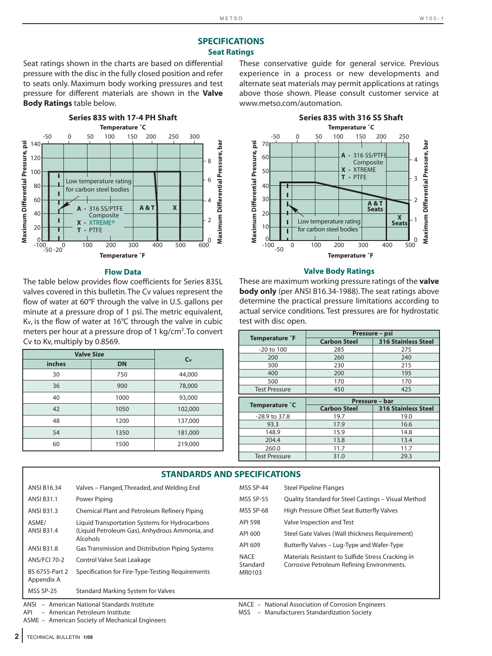# **SPECIFICATIONS Seat Ratings**

Seat ratings shown in the charts are based on differential pressure with the disc in the fully closed position and refer to seats only. Maximum body working pressures and test pressure for different materials are shown in the **Valve Body Ratings** table below.



#### **Flow Data**

The table below provides flow coefficients for Series 835L valves covered in this bulletin. The Cv values represent the flow of water at 60°F through the valve in U.S. gallons per minute at a pressure drop of 1 psi. The metric equivalent, Kv, is the flow of water at 16°C through the valve in cubic meters per hour at a pressure drop of 1 kg/cm<sup>2</sup>. To convert Cv to Kv, multiply by 0.8569.

| <b>Valve Size</b> |           | C <sub>v</sub> |
|-------------------|-----------|----------------|
| inches            | <b>DN</b> |                |
| 30                | 750       | 44,000         |
| 36                | 900       | 78,000         |
| 40                | 1000      | 93,000         |
| 42                | 1050      | 102,000        |
| 48                | 1200      | 137,000        |
| 54                | 1350      | 181,000        |
| 60                | 1500      | 219,000        |

These conservative guide for general service. Previous experience in a process or new developments and alternate seat materials may permit applications at ratings above those shown. Please consult customer service at www.metso.com/automation.



#### **Valve Body Ratings**

These are maximum working pressure ratings of the **valve body only** (per ANSI B16.34-1988). The seat ratings above determine the practical pressure limitations according to actual service conditions. Test pressures are for hydrostatic test with disc open.

|                                  | Pressure - psi                        |                            |  |  |
|----------------------------------|---------------------------------------|----------------------------|--|--|
| <b>Temperature <sup>°</sup>F</b> | <b>Carbon Steel</b>                   | <b>316 Stainless Steel</b> |  |  |
| -20 to 100                       | 285                                   | 275                        |  |  |
| 200                              | 260                                   | 240                        |  |  |
| 300                              | 230                                   | 215                        |  |  |
| 400                              | 200                                   | 195                        |  |  |
| 500                              | 170                                   | 170                        |  |  |
| <b>Test Pressure</b>             | 450                                   | 425                        |  |  |
|                                  |                                       |                            |  |  |
|                                  |                                       |                            |  |  |
| Temperature °C                   | Pressure - bar<br><b>Carbon Steel</b> | <b>316 Stainless Steel</b> |  |  |
| -28.9 to 37.8                    | 19.7                                  | 19.0                       |  |  |
| 93.3                             | 17.9                                  | 16.6                       |  |  |
| 148.9                            | 15.9                                  | 14.8                       |  |  |
| 204.4                            | 13.8                                  | 13.4                       |  |  |
| 260.0                            | 11.7                                  | 11.7                       |  |  |

|                              | <b>STANDARDS AND SPECIFICATIONS</b>                                                                          |                         |                                                                                                 |  |  |  |  |  |  |
|------------------------------|--------------------------------------------------------------------------------------------------------------|-------------------------|-------------------------------------------------------------------------------------------------|--|--|--|--|--|--|
| <b>ANSI B16.34</b>           | Valves – Flanged, Threaded, and Welding End                                                                  | MSS SP-44               | <b>Steel Pipeline Flanges</b>                                                                   |  |  |  |  |  |  |
| <b>ANSI B31.1</b>            | Power Piping                                                                                                 | <b>MSS SP-55</b>        | Quality Standard for Steel Castings - Visual Method                                             |  |  |  |  |  |  |
| <b>ANSI B31.3</b>            | Chemical Plant and Petroleum Refinery Piping                                                                 | MSS SP-68               | High Pressure Offset Seat Butterfly Valves                                                      |  |  |  |  |  |  |
| ASME/<br><b>ANSI B31.4</b>   | Liquid Transportation Systems for Hydrocarbons<br>(Liquid Petroleum Gas), Anhydrous Ammonia, and<br>Alcohols | API 598                 | Valve Inspection and Test                                                                       |  |  |  |  |  |  |
|                              |                                                                                                              | API 600                 | Steel Gate Valves (Wall thickness Requirement)                                                  |  |  |  |  |  |  |
| <b>ANSI B31.8</b>            | Gas Transmission and Distribution Piping Systems                                                             | API 609                 | Butterfly Valves - Lug-Type and Wafer-Type                                                      |  |  |  |  |  |  |
| <b>ANS/FCI 70-2</b>          | Control Valve Seat Leakage                                                                                   | <b>NACE</b><br>Standard | Materials Resistant to Sulfide Stress Cracking in<br>Corrosive Petroleum Refining Environments. |  |  |  |  |  |  |
| BS 6755-Part 2<br>Appendix A | Specification for Fire-Type-Testing Requirements                                                             | MR0103                  |                                                                                                 |  |  |  |  |  |  |
| MSS SP-25                    | Standard Marking System for Valves                                                                           |                         |                                                                                                 |  |  |  |  |  |  |

ASME – American Society of Mechanical Engineers

ANSI – American National Standards Institute Nace – NACE – National Association of Corrosion Engineers<br>API – American Petroleum Institute National Association Society

API – American Petroleum Institute MSS – Manufacturers Standardization Society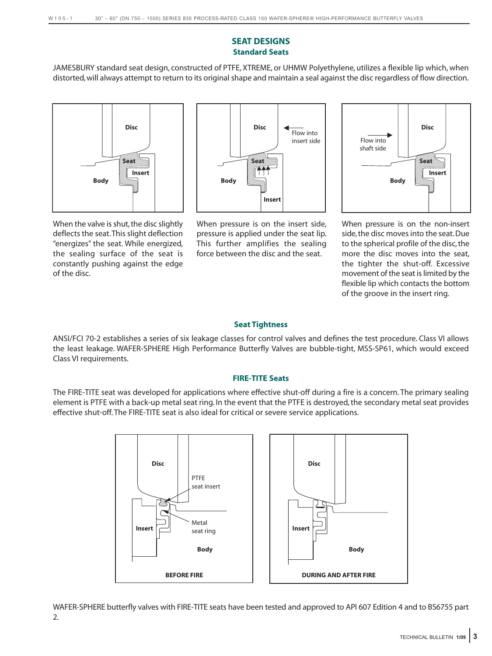# **SEAT DESIGNS Standard Seats**

JAMESBURY standard seat design, constructed of PTFE, XTREME, or UHMW Polyethylene, utilizes a flexible lip which, when distorted, will always attempt to return to its original shape and maintain a seal against the disc regardless of flow direction.



When the valve is shut, the disc slightly deflects the seat.This slight deflection "energizes" the seat. While energized, the sealing surface of the seat is constantly pushing against the edge of the disc.



When pressure is on the insert side, pressure is applied under the seat lip. This further amplifies the sealing force between the disc and the seat.



When pressure is on the non-insert side,the disc moves into the seat. Due to the spherical profile of the disc, the more the disc moves into the seat, the tighter the shut-off. Excessive movement of the seat is limited by the flexible lip which contacts the bottom of the groove in the insert ring.

# **Seat Tightness**

ANSI/FCI 70-2 establishes a series of six leakage classes for control valves and defines the test procedure. Class VI allows the least leakage. WAFER-SPHERE High Performance Butterfly Valves are bubble-tight, MSS-SP61, which would exceed Class VI requirements.

# **FIRE-TITE Seats**

The FIRE-TITE seat was developed for applications where effective shut-off during a fire is a concern. The primary sealing element is PTFE with a back-up metal seat ring. In the event that the PTFE is destroyed, the secondary metal seat provides effective shut-off. The FIRE-TITE seat is also ideal for critical or severe service applications.



WAFER-SPHERE butterfly valves with FIRE-TITE seats have been tested and approved to API 607 Edition 4 and to BS6755 part 2.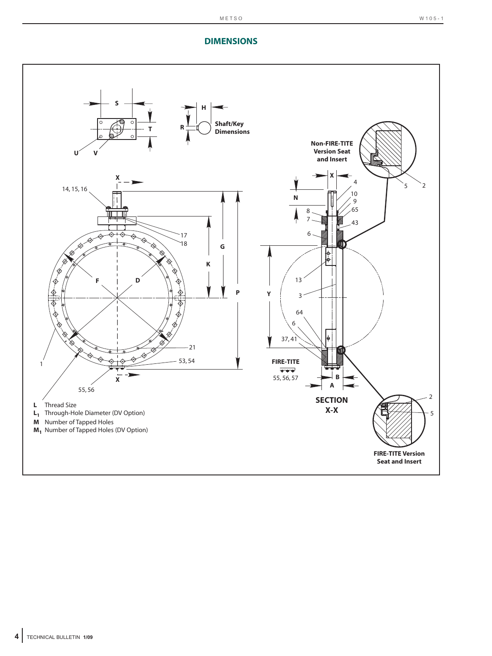# **DIMENSIONS**

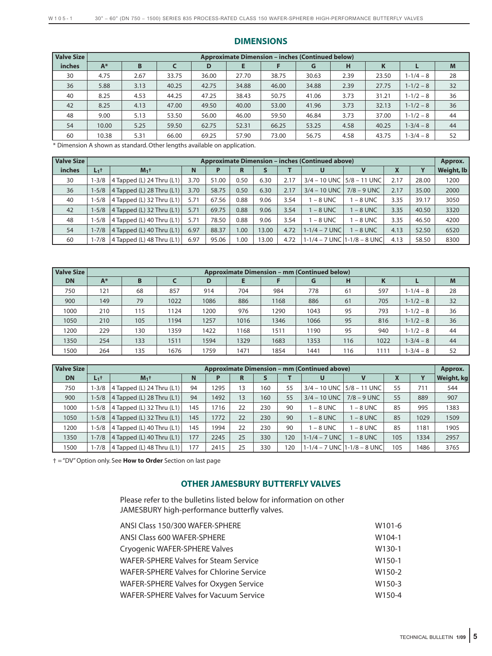| Valve Size    | <b>Approximate Dimension – inches (Continued below)</b> |      |       |       |       |       |       |      |       |               |    |  |
|---------------|---------------------------------------------------------|------|-------|-------|-------|-------|-------|------|-------|---------------|----|--|
| <i>inches</i> | $A^*$                                                   | B    |       | D     | Е     |       | G     | н    | K     |               | M  |  |
| 30            | 4.75                                                    | 2.67 | 33.75 | 36.00 | 27.70 | 38.75 | 30.63 | 2.39 | 23.50 | $1 - 1/4 - 8$ | 28 |  |
| 36            | 5.88                                                    | 3.13 | 40.25 | 42.75 | 34.88 | 46.00 | 34.88 | 2.39 | 27.75 | $1 - 1/2 - 8$ | 32 |  |
| 40            | 8.25                                                    | 4.53 | 44.25 | 47.25 | 38.43 | 50.75 | 41.06 | 3.73 | 31.21 | $1 - 1/2 - 8$ | 36 |  |
| 42            | 8.25                                                    | 4.13 | 47.00 | 49.50 | 40.00 | 53.00 | 41.96 | 3.73 | 32.13 | $1 - 1/2 - 8$ | 36 |  |
| 48            | 9.00                                                    | 5.13 | 53.50 | 56.00 | 46.00 | 59.50 | 46.84 | 3.73 | 37.00 | $1 - 1/2 - 8$ | 44 |  |
| 54            | 10.00                                                   | 5.25 | 59.50 | 62.75 | 52.31 | 66.25 | 53.25 | 4.58 | 40.25 | $1 - 3/4 - 8$ | 44 |  |
| 60            | 10.38                                                   | 5.31 | 66.00 | 69.25 | 57.90 | 73.00 | 56.75 | 4.58 | 43.75 | $1 - 3/4 - 8$ | 52 |  |

## **DIMENSIONS**

\* Dimension A shown as standard. Other lengths available on application.

| <b>Valve Size</b> |           |                             |      |       |                   |       |      | <b>Approximate Dimension - inches (Continued above)</b> |                                     |      |       | Approx.    |
|-------------------|-----------|-----------------------------|------|-------|-------------------|-------|------|---------------------------------------------------------|-------------------------------------|------|-------|------------|
| <b>inches</b>     | $L_1$ t   | $M_1$ <sup>+</sup>          | N    | P     | R                 |       |      | U                                                       | v                                   | X    | Υ     | Weight, lb |
| 30                | $-3/8$    | 4 Tapped (L) 24 Thru (L1)   | 3.70 | 51.00 | 0.50              | 6.30  | 2.17 | $3/4 - 10$ UNC                                          | $5/8 - 11$ UNC                      | 2.17 | 28.00 | 1200       |
| 36                | $1 - 5/8$ | $4$ Tapped (L) 28 Thru (L1) | 3.70 | 58.75 | 0.50              | 6.30  | 2.17 | $3/4 - 10$ UNC                                          | $7/8 - 9$ UNC                       | 2.17 | 35.00 | 2000       |
| 40                | $1 - 5/8$ | $4$ Tapped (L) 32 Thru (L1) | 5.71 | 67.56 | 0.88              | 9.06  | 3.54 | $-8$ UNC                                                | $-8$ UNC                            | 3.35 | 39.17 | 3050       |
| 42                | $1 - 5/8$ | $4$ Tapped (L) 32 Thru (L1) | 5.71 | 69.75 | 0.88              | 9.06  | 3.54 | $-8$ UNC                                                | $-8$ UNC                            | 3.35 | 40.50 | 3320       |
| 48                | $1 - 5/8$ | 4 Tapped (L) 40 Thru (L1)   | 5.71 | 78.50 | 0.88              | 9.06  | 3.54 | $-8$ UNC                                                | $-8$ UNC                            | 3.35 | 46.50 | 4200       |
| 54                | $1 - 7/8$ | $4$ Tapped (L) 40 Thru (L1) | 6.97 | 88.37 | 1.00 <sub>1</sub> | 13.00 | 4.72 | $1 - 1/4 - 7$ UNC                                       | $-8$ UNC                            | 4.13 | 52.50 | 6520       |
| 60                | $1 - 7/8$ | 4 Tapped (L) 48 Thru (L1)   | 6.97 | 95.06 | 00.1              | 13.00 | 4.72 |                                                         | $1 - 1/4 - 7$ UNC $1 - 1/8 - 8$ UNC | 4.13 | 58.50 | 8300       |

| <b>Valve Size</b> | <b>Approximate Dimension – mm (Continued below)</b> |     |      |      |      |      |      |     |      |               |    |  |
|-------------------|-----------------------------------------------------|-----|------|------|------|------|------|-----|------|---------------|----|--|
| <b>DN</b>         | A*                                                  | B   |      | D    | Е    |      | G    | н   | K    |               | M  |  |
| 750               | 121                                                 | 68  | 857  | 914  | 704  | 984  | 778  | 61  | 597  | $1 - 1/4 - 8$ | 28 |  |
| 900               | 149                                                 | 79  | 1022 | 1086 | 886  | 1168 | 886  | 61  | 705  | $1 - 1/2 - 8$ | 32 |  |
| 1000              | 210                                                 | 115 | 1124 | 1200 | 976  | 1290 | 1043 | 95  | 793  | $1 - 1/2 - 8$ | 36 |  |
| 1050              | 210                                                 | 105 | 1194 | 1257 | 1016 | 1346 | 1066 | 95  | 816  | $1 - 1/2 - 8$ | 36 |  |
| 1200              | 229                                                 | 130 | 1359 | 1422 | 1168 | 1511 | 1190 | 95  | 940  | $1 - 1/2 - 8$ | 44 |  |
| 1350              | 254                                                 | 133 | 1511 | 1594 | 1329 | 1683 | 1353 | 116 | 1022 | $1 - 3/4 - 8$ | 44 |  |
| 1500              | 264                                                 | 135 | 1676 | 1759 | 1471 | 1854 | 1441 | 116 | 1111 | $-3/4 - 8$    | 52 |  |

| <b>Valve Size</b> |           |                              |     |      |    |     |     | <b>Approximate Dimension - mm (Continued above)</b> |                                      |     |      | Approx.    |
|-------------------|-----------|------------------------------|-----|------|----|-----|-----|-----------------------------------------------------|--------------------------------------|-----|------|------------|
| <b>DN</b>         | $L_1$ t   | $M_1$ <sup>+</sup>           | N   |      | R  |     |     | U                                                   |                                      | X   | Y    | Weight, kg |
| 750               | $-3/8$    | 4 Tapped (L) 24 Thru $(L1)$  | 94  | 1295 | 13 | 160 | 55  |                                                     | $3/4 - 10$ UNC $\sqrt{5/8} - 11$ UNC | 55  | 711  | 544        |
| 900               | $1 - 5/8$ | 4 Tapped (L) 28 Thru $(L1)$  | 94  | 1492 | 13 | 160 | 55  | $3/4 - 10$ UNC                                      | $7/8 - 9$ UNC                        | 55  | 889  | 907        |
| 1000              | $1 - 5/8$ | 4 Tapped (L) 32 Thru $(L1)$  | 145 | 1716 | 22 | 230 | 90  | $-8$ UNC                                            | $-8$ UNC                             | 85  | 995  | 1383       |
| 1050              | $1 - 5/8$ | 4 Tapped (L) 32 Thru $(L1)$  | 145 | 1772 | 22 | 230 | 90  | $-8$ UNC                                            | $-8$ UNC                             | 85  | 1029 | 1509       |
| 1200              | 1-5/8     | 4 Tapped (L) 40 Thru $(L1)$  | 145 | 1994 | 22 | 230 | 90  | $-8$ UNC                                            | $-8$ UNC                             | 85  | 1181 | 1905       |
| 1350              | $1 - 7/8$ | 4 Tapped (L) 40 Thru $(L1)$  | 177 | 2245 | 25 | 330 | 120 | $1 - 1/4 - 7$ UNC                                   | $-8$ UNC                             | 105 | 1334 | 2957       |
| 1500              | $1 - 7/8$ | $ 4$ Tapped (L) 48 Thru (L1) | 177 | 2415 | 25 | 330 | 120 | $1-1/4 - 7$ UNC $1-1/8 - 8$ UNC                     |                                      | 105 | 1486 | 3765       |

† = "DV" Option only. See **How to Order** Section on last page

# **OTHER JAMESBURY BUTTERFLY VALVES**

Please refer to the bulletins listed below for information on other JAMESBURY high-performance butterfly valves.

| ANSI Class 150/300 WAFER-SPHERE<br>W <sub>101-6</sub> |                    |
|-------------------------------------------------------|--------------------|
| ANSI Class 600 WAFER-SPHERE                           | W <sub>104-1</sub> |
| Cryogenic WAFER-SPHERE Valves                         | W <sub>130-1</sub> |
| <b>WAFER-SPHERE Valves for Steam Service</b>          | W <sub>150-1</sub> |
| WAFER-SPHERE Valves for Chlorine Service              | W <sub>150-2</sub> |
| WAFER-SPHERE Valves for Oxygen Service                | W150-3             |
| <b>WAFER-SPHERE Valves for Vacuum Service</b>         | W150-4             |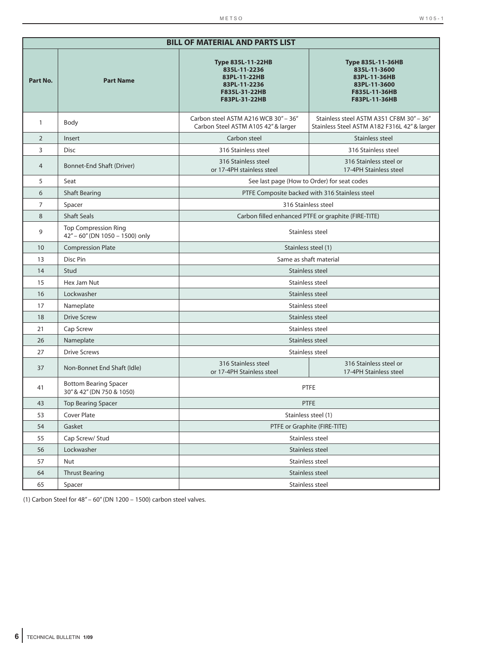|                | <b>BILL OF MATERIAL AND PARTS LIST</b>                         |                                                                                                      |                                                                                          |  |  |  |  |  |  |
|----------------|----------------------------------------------------------------|------------------------------------------------------------------------------------------------------|------------------------------------------------------------------------------------------|--|--|--|--|--|--|
| Part No.       | <b>Part Name</b>                                               | Type 835L-11-36HB<br>835L-11-3600<br>83PL-11-36HB<br>83PL-11-3600<br>F835L-11-36HB<br>F83PL-11-36HB  |                                                                                          |  |  |  |  |  |  |
| $\mathbf{1}$   | Body                                                           | Carbon steel ASTM A216 WCB 30" - 36"<br>Carbon Steel ASTM A105 42" & larger                          | Stainless steel ASTM A351 CF8M 30" - 36"<br>Stainless Steel ASTM A182 F316L 42" & larger |  |  |  |  |  |  |
| $\overline{2}$ | Insert                                                         | Carbon steel                                                                                         | Stainless steel                                                                          |  |  |  |  |  |  |
| 3              | <b>Disc</b>                                                    | 316 Stainless steel                                                                                  | 316 Stainless steel                                                                      |  |  |  |  |  |  |
| $\overline{4}$ | Bonnet-End Shaft (Driver)                                      | 316 Stainless steel<br>316 Stainless steel or<br>or 17-4PH stainless steel<br>17-4PH Stainless steel |                                                                                          |  |  |  |  |  |  |
| 5              | Seat                                                           |                                                                                                      | See last page (How to Order) for seat codes                                              |  |  |  |  |  |  |
| 6              | <b>Shaft Bearing</b>                                           |                                                                                                      | PTFE Composite backed with 316 Stainless steel                                           |  |  |  |  |  |  |
| $\overline{7}$ | Spacer                                                         |                                                                                                      | 316 Stainless steel                                                                      |  |  |  |  |  |  |
| 8              | <b>Shaft Seals</b>                                             |                                                                                                      | Carbon filled enhanced PTFE or graphite (FIRE-TITE)                                      |  |  |  |  |  |  |
| 9              | <b>Top Compression Ring</b><br>42" - 60" (DN 1050 - 1500) only |                                                                                                      | Stainless steel                                                                          |  |  |  |  |  |  |
| 10             | <b>Compression Plate</b>                                       | Stainless steel (1)                                                                                  |                                                                                          |  |  |  |  |  |  |
| 13             | Disc Pin                                                       | Same as shaft material                                                                               |                                                                                          |  |  |  |  |  |  |
| 14             | Stud                                                           |                                                                                                      | Stainless steel                                                                          |  |  |  |  |  |  |
| 15             | Hex Jam Nut                                                    | Stainless steel                                                                                      |                                                                                          |  |  |  |  |  |  |
| 16             | Lockwasher                                                     |                                                                                                      | Stainless steel                                                                          |  |  |  |  |  |  |
| 17             | Nameplate                                                      |                                                                                                      | Stainless steel                                                                          |  |  |  |  |  |  |
| 18             | <b>Drive Screw</b>                                             |                                                                                                      | Stainless steel                                                                          |  |  |  |  |  |  |
| 21             | Cap Screw                                                      |                                                                                                      | Stainless steel                                                                          |  |  |  |  |  |  |
| 26             | Nameplate                                                      |                                                                                                      | Stainless steel                                                                          |  |  |  |  |  |  |
| 27             | <b>Drive Screws</b>                                            |                                                                                                      | Stainless steel                                                                          |  |  |  |  |  |  |
| 37             | Non-Bonnet End Shaft (Idle)                                    | 316 Stainless steel<br>or 17-4PH Stainless steel                                                     | 316 Stainless steel or<br>17-4PH Stainless steel                                         |  |  |  |  |  |  |
| 41             | <b>Bottom Bearing Spacer</b><br>30" & 42" (DN 750 & 1050)      |                                                                                                      | <b>PTFE</b>                                                                              |  |  |  |  |  |  |
| 43             | <b>Top Bearing Spacer</b>                                      |                                                                                                      | <b>PTFE</b>                                                                              |  |  |  |  |  |  |
| 53             | Cover Plate                                                    |                                                                                                      | Stainless steel (1)                                                                      |  |  |  |  |  |  |
| 54             | Gasket                                                         |                                                                                                      | PTFE or Graphite (FIRE-TITE)                                                             |  |  |  |  |  |  |
| 55             | Cap Screw/ Stud                                                |                                                                                                      | Stainless steel                                                                          |  |  |  |  |  |  |
| 56             | Lockwasher                                                     |                                                                                                      | Stainless steel                                                                          |  |  |  |  |  |  |
| 57             | Nut                                                            |                                                                                                      | Stainless steel                                                                          |  |  |  |  |  |  |
| 64             | <b>Thrust Bearing</b>                                          |                                                                                                      | Stainless steel                                                                          |  |  |  |  |  |  |
| 65             | Spacer                                                         |                                                                                                      | Stainless steel                                                                          |  |  |  |  |  |  |

(1) Carbon Steel for  $48'' - 60''$  (DN 1200 – 1500) carbon steel valves.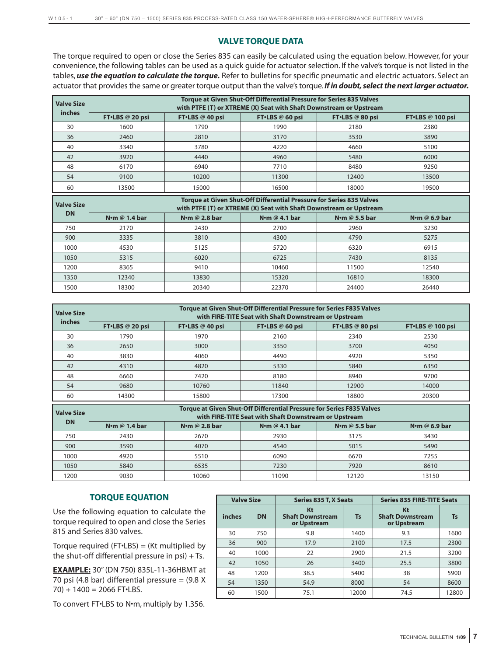# **VALVE TORQUE DATA**

The torque required to open or close the Series 835 can easily be calculated using the equation below. However, for your convenience, the following tables can be used as a quick guide for actuator selection. If the valve's torque is not listed in the tables, *use the equation to calculate the torque.* Refer to bulletins for specific pneumatic and electric actuators. Select an actuator that provides the same or greater torque output than the valve's torque.*If in doubt, select the next larger actuator.*

| <b>Valve Size</b> |                                                                                                                                            |                           | Torque at Given Shut-Off Differential Pressure for Series 835 Valves<br>with PTFE (T) or XTREME (X) Seat with Shaft Downstream or Upstream |                           |                       |  |  |  |  |
|-------------------|--------------------------------------------------------------------------------------------------------------------------------------------|---------------------------|--------------------------------------------------------------------------------------------------------------------------------------------|---------------------------|-----------------------|--|--|--|--|
| <i>inches</i>     | FT.LBS @ 20 psi                                                                                                                            | FT.LBS @ 40 psi           | FT·LBS @ 60 psi                                                                                                                            | FT·LBS @ 80 psi           | FT.LBS @ 100 psi      |  |  |  |  |
| 30                | 1600                                                                                                                                       | 1790                      | 1990                                                                                                                                       | 2180                      | 2380                  |  |  |  |  |
| 36                | 2460                                                                                                                                       | 2810                      | 3170                                                                                                                                       | 3530                      | 3890                  |  |  |  |  |
| 40                | 3340                                                                                                                                       | 3780                      | 4220                                                                                                                                       | 4660                      | 5100                  |  |  |  |  |
| 42                | 3920                                                                                                                                       | 4440                      | 4960                                                                                                                                       | 5480                      | 6000                  |  |  |  |  |
| 48                | 6170                                                                                                                                       | 6940                      | 7710                                                                                                                                       | 8480                      | 9250                  |  |  |  |  |
| 54                | 9100                                                                                                                                       | 10200                     | 11300                                                                                                                                      | 12400                     | 13500                 |  |  |  |  |
| 60                | 13500                                                                                                                                      | 15000                     | 16500                                                                                                                                      | 18000                     | 19500                 |  |  |  |  |
|                   | Torque at Given Shut-Off Differential Pressure for Series 835 Valves<br>with PTFE (T) or XTREME (X) Seat with Shaft Downstream or Upstream |                           |                                                                                                                                            |                           |                       |  |  |  |  |
| <b>Valve Size</b> |                                                                                                                                            |                           |                                                                                                                                            |                           |                       |  |  |  |  |
| <b>DN</b>         | N <sub>om</sub> @ 1.4 bar                                                                                                                  | N <sub>om</sub> @ 2.8 bar | N $\cdot$ m @ 4.1 bar                                                                                                                      | N <sub>om</sub> @ 5.5 bar | N $\cdot$ m @ 6.9 bar |  |  |  |  |
| 750               | 2170                                                                                                                                       | 2430                      | 2700                                                                                                                                       | 2960                      | 3230                  |  |  |  |  |
| 900               | 3335                                                                                                                                       | 3810                      | 4300                                                                                                                                       | 4790                      | 5275                  |  |  |  |  |
| 1000              | 4530                                                                                                                                       | 5125                      | 5720                                                                                                                                       | 6320                      | 6915                  |  |  |  |  |
| 1050              | 5315                                                                                                                                       | 6020                      | 6725                                                                                                                                       | 7430                      | 8135                  |  |  |  |  |
| 1200              | 8365                                                                                                                                       | 9410                      | 10460                                                                                                                                      | 11500                     | 12540                 |  |  |  |  |

| <b>Valve Size</b> | <b>Torque at Given Shut-Off Differential Pressure for Series F835 Valves</b><br>with FIRE-TITE Seat with Shaft Downstream or Upstream |                 |                 |                 |                  |  |  |  |  |  |
|-------------------|---------------------------------------------------------------------------------------------------------------------------------------|-----------------|-----------------|-----------------|------------------|--|--|--|--|--|
| <i>inches</i>     | FT.LBS @ 20 psi                                                                                                                       | FT.LBS @ 40 psi | FT.LBS @ 60 psi | FT.LBS @ 80 psi | FT.LBS @ 100 psi |  |  |  |  |  |
| 30                | 1790                                                                                                                                  | 1970            | 2160            | 2340            | 2530             |  |  |  |  |  |
| 36                | 2650                                                                                                                                  | 3000            | 3350            | 3700            | 4050             |  |  |  |  |  |
| 40                | 3830                                                                                                                                  | 4060            | 4490            | 4920            | 5350             |  |  |  |  |  |
| 42                | 4310                                                                                                                                  | 4820            | 5330            | 5840            | 6350             |  |  |  |  |  |
| 48                | 6660                                                                                                                                  | 7420            | 8180            | 8940            | 9700             |  |  |  |  |  |
| 54                | 9680                                                                                                                                  | 10760           | 11840           | 12900           | 14000            |  |  |  |  |  |
| 60                | 14300                                                                                                                                 | 15800           | 17300           | 18800           | 20300            |  |  |  |  |  |

1500 18300 20340 22370 24400 26440

| Valve Size | <b>Torque at Given Shut-Off Differential Pressure for Series F835 Valves</b><br>with FIRE-TITE Seat with Shaft Downstream or Upstream |                       |                       |                       |                       |  |  |  |  |  |
|------------|---------------------------------------------------------------------------------------------------------------------------------------|-----------------------|-----------------------|-----------------------|-----------------------|--|--|--|--|--|
| <b>DN</b>  | N $\cdot$ m @ 1.4 bar                                                                                                                 | N $\cdot$ m @ 2.8 bar | N $\cdot$ m @ 4.1 bar | N $\cdot$ m @ 5.5 bar | N $\cdot$ m @ 6.9 bar |  |  |  |  |  |
| 750        | 2430                                                                                                                                  | 2670                  | 2930                  | 3175                  | 3430                  |  |  |  |  |  |
| 900        | 3590                                                                                                                                  | 4070                  | 4540                  | 5015                  | 5490                  |  |  |  |  |  |
| 1000       | 4920                                                                                                                                  | 5510                  | 6090                  | 6670                  | 7255                  |  |  |  |  |  |
| 1050       | 5840                                                                                                                                  | 6535                  | 7230                  | 7920                  | 8610                  |  |  |  |  |  |
| 1200       | 9030                                                                                                                                  | 10060                 | 11090                 | 12120                 | 13150                 |  |  |  |  |  |

# **TORQUE EQUATION**

Use the following equation to calculate the torque required to open and close the Series 815 and Series 830 valves.

Torque required (FT $\cdot$ LBS) = (Kt multiplied by the shut-off differential pressure in psi) + Ts.

**EXAMPLE:** 30" (DN 750) 835L-11-36HBMT at 70 psi (4.8 bar) differential pressure  $= (9.8 \text{ X})$  $70$ ) + 1400 = 2066 FT $\cdot$ LBS.

To convert FT•LBS to N•m, multiply by 1.356.

| <b>Valve Size</b> |           | Series 835 T, X Seats                        |           | <b>Series 835 FIRE-TITE Seats</b>            |           |  |
|-------------------|-----------|----------------------------------------------|-----------|----------------------------------------------|-----------|--|
| inches            | <b>DN</b> | Kt<br><b>Shaft Downstream</b><br>or Upstream | <b>Ts</b> | Kt<br><b>Shaft Downstream</b><br>or Upstream | <b>Ts</b> |  |
| 30                | 750       | 9.8                                          | 1400      | 9.3                                          | 1600      |  |
| 36                | 900       | 17.9                                         | 2100      | 17.5                                         | 2300      |  |
| 40                | 1000      | 22                                           | 2900      | 21.5                                         | 3200      |  |
| 42                | 1050      | 26                                           | 3400      | 25.5                                         | 3800      |  |
| 48                | 1200      | 38.5                                         | 5400      | 38                                           | 5900      |  |
| 54                | 1350      | 54.9                                         | 8000      | 54                                           | 8600      |  |
| 60                | 1500      | 75.1                                         | 12000     | 74.5                                         | 12800     |  |